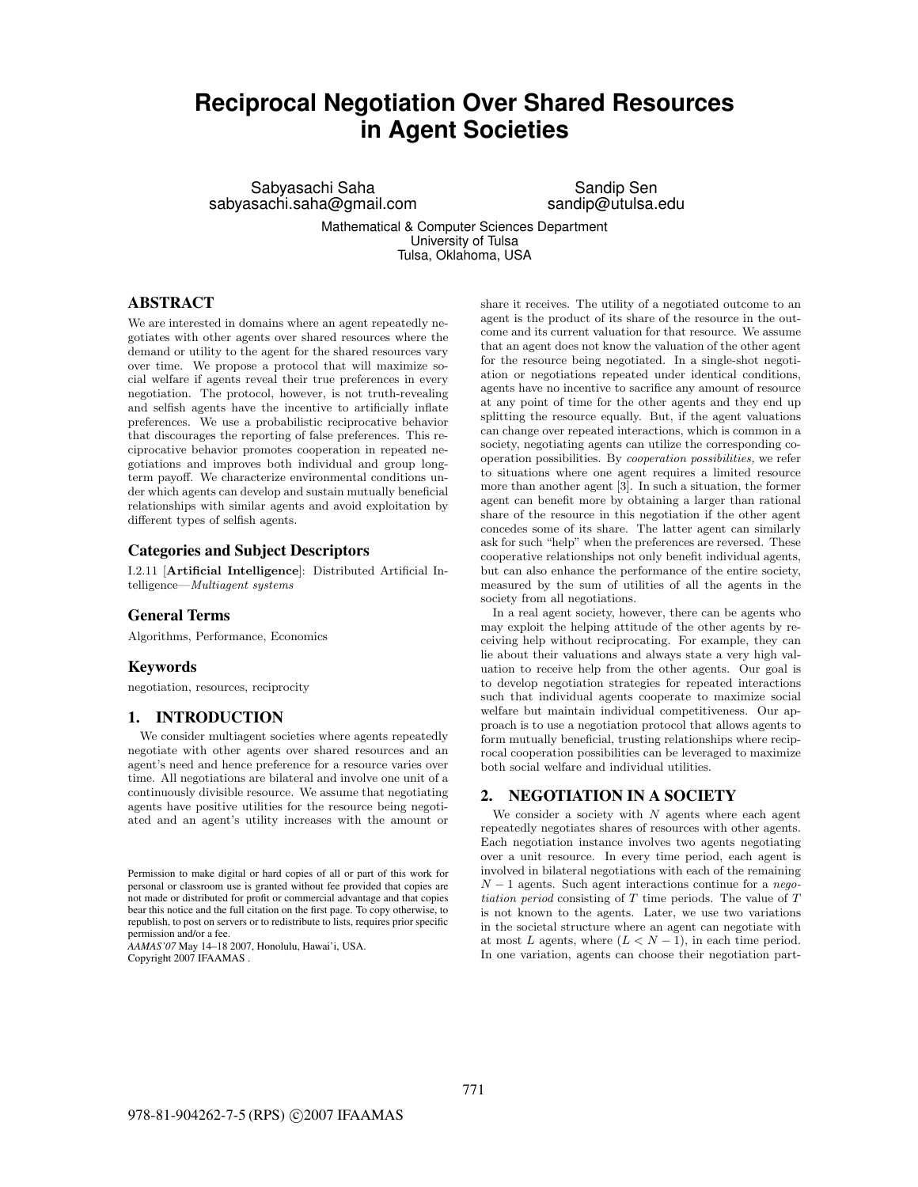# **Reciprocal Negotiation Over Shared Resources in Agent Societies**

Sabyasachi Saha sabyasachi.saha@gmail.com

Sandip Sen sandip@utulsa.edu

Mathematical & Computer Sciences Department University of Tulsa Tulsa, Oklahoma, USA

## **ABSTRACT**

We are interested in domains where an agent repeatedly negotiates with other agents over shared resources where the demand or utility to the agent for the shared resources vary over time. We propose a protocol that will maximize social welfare if agents reveal their true preferences in every negotiation. The protocol, however, is not truth-revealing and selfish agents have the incentive to artificially inflate preferences. We use a probabilistic reciprocative behavior that discourages the reporting of false preferences. This reciprocative behavior promotes cooperation in repeated negotiations and improves both individual and group longterm payoff. We characterize environmental conditions under which agents can develop and sustain mutually beneficial relationships with similar agents and avoid exploitation by different types of selfish agents.

## **Categories and Subject Descriptors**

I.2.11 [**Artificial Intelligence**]: Distributed Artificial Intelligence—Multiagent systems

### **General Terms**

Algorithms, Performance, Economics

#### **Keywords**

negotiation, resources, reciprocity

## **1. INTRODUCTION**

We consider multiagent societies where agents repeatedly negotiate with other agents over shared resources and an agent's need and hence preference for a resource varies over time. All negotiations are bilateral and involve one unit of a continuously divisible resource. We assume that negotiating agents have positive utilities for the resource being negotiated and an agent's utility increases with the amount or

*AAMAS'07* May 14–18 2007, Honolulu, Hawai'i, USA. Copyright 2007 IFAAMAS .

share it receives. The utility of a negotiated outcome to an agent is the product of its share of the resource in the outcome and its current valuation for that resource. We assume that an agent does not know the valuation of the other agent for the resource being negotiated. In a single-shot negotiation or negotiations repeated under identical conditions, agents have no incentive to sacrifice any amount of resource at any point of time for the other agents and they end up splitting the resource equally. But, if the agent valuations can change over repeated interactions, which is common in a society, negotiating agents can utilize the corresponding cooperation possibilities. By cooperation possibilities, we refer to situations where one agent requires a limited resource more than another agent [3]. In such a situation, the former agent can benefit more by obtaining a larger than rational share of the resource in this negotiation if the other agent concedes some of its share. The latter agent can similarly ask for such "help" when the preferences are reversed. These cooperative relationships not only benefit individual agents, but can also enhance the performance of the entire society, measured by the sum of utilities of all the agents in the society from all negotiations.

In a real agent society, however, there can be agents who may exploit the helping attitude of the other agents by receiving help without reciprocating. For example, they can lie about their valuations and always state a very high valuation to receive help from the other agents. Our goal is to develop negotiation strategies for repeated interactions such that individual agents cooperate to maximize social welfare but maintain individual competitiveness. Our approach is to use a negotiation protocol that allows agents to form mutually beneficial, trusting relationships where reciprocal cooperation possibilities can be leveraged to maximize both social welfare and individual utilities.

## **2. NEGOTIATION IN A SOCIETY**

We consider a society with  $N$  agents where each agent repeatedly negotiates shares of resources with other agents. Each negotiation instance involves two agents negotiating over a unit resource. In every time period, each agent is involved in bilateral negotiations with each of the remaining  $N-1$  agents. Such agent interactions continue for a negotiation period consisting of  $T$  time periods. The value of  $T$ is not known to the agents. Later, we use two variations in the societal structure where an agent can negotiate with at most L agents, where  $(L < N - 1)$ , in each time period. In one variation, agents can choose their negotiation part-

Permission to make digital or hard copies of all or part of this work for personal or classroom use is granted without fee provided that copies are not made or distributed for profit or commercial advantage and that copies bear this notice and the full citation on the first page. To copy otherwise, to republish, to post on servers or to redistribute to lists, requires prior specific permission and/or a fee.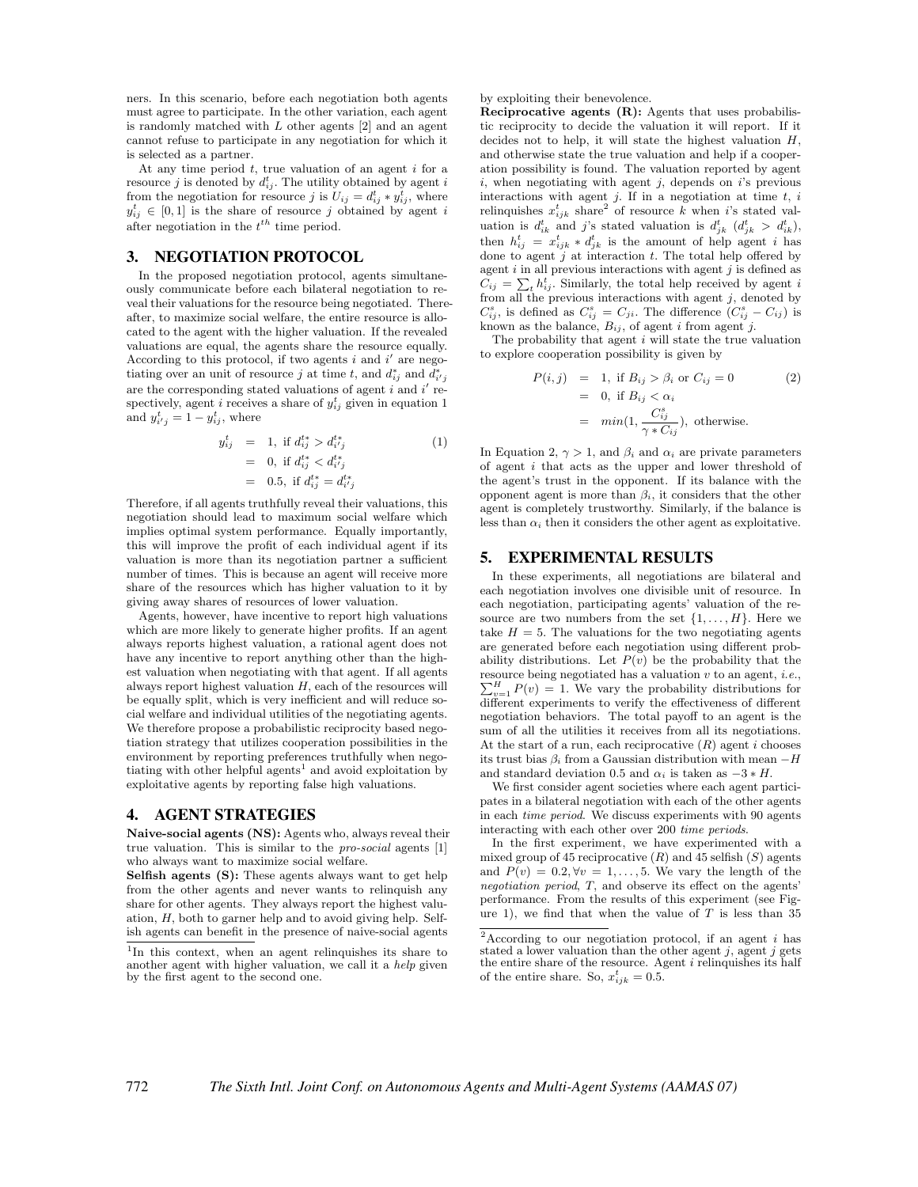ners. In this scenario, before each negotiation both agents must agree to participate. In the other variation, each agent is randomly matched with L other agents [2] and an agent cannot refuse to participate in any negotiation for which it is selected as a partner.

At any time period  $t$ , true valuation of an agent  $i$  for a resource j is denoted by  $d_{ij}^t$ . The utility obtained by agent i from the negotiation for resource j is  $U_{ij} = d_{ij}^t * y_{ij}^{\overline{t}}$ , where  $y_{ij}^t \in [0,1]$  is the share of resource j obtained by agent i after negotiation in the  $t^{th}$  time period.

## **3. NEGOTIATION PROTOCOL**

In the proposed negotiation protocol, agents simultaneously communicate before each bilateral negotiation to reveal their valuations for the resource being negotiated. Thereafter, to maximize social welfare, the entire resource is allocated to the agent with the higher valuation. If the revealed valuations are equal, the agents share the resource equally. According to this protocol, if two agents  $i$  and  $i'$  are negotiating over an unit of resource j at time t, and  $d_{ij}^*$  and  $\overline{d}_{i'j}^*$ are the corresponding stated valuations of agent  $i$  and  $i'$  respectively, agent *i* receives a share of  $y_{ij}^t$  given in equation 1 and  $y_{i'j}^t = 1 - y_{ij}^t$ , where

$$
y_{ij}^t = 1, \text{ if } d_{ij}^{t*} > d_{i'j}^{t*}
$$
  
= 0, if  $d_{ij}^{t*} < d_{i'j}^{t*}$   
= 0.5, if  $d_{ij}^{t*} = d_{i'j}^{t*}$ 

Therefore, if all agents truthfully reveal their valuations, this negotiation should lead to maximum social welfare which implies optimal system performance. Equally importantly, this will improve the profit of each individual agent if its valuation is more than its negotiation partner a sufficient number of times. This is because an agent will receive more share of the resources which has higher valuation to it by giving away shares of resources of lower valuation.

Agents, however, have incentive to report high valuations which are more likely to generate higher profits. If an agent always reports highest valuation, a rational agent does not have any incentive to report anything other than the highest valuation when negotiating with that agent. If all agents always report highest valuation  $H$ , each of the resources will be equally split, which is very inefficient and will reduce social welfare and individual utilities of the negotiating agents. We therefore propose a probabilistic reciprocity based negotiation strategy that utilizes cooperation possibilities in the environment by reporting preferences truthfully when negotiating with other helpful agents<sup>1</sup> and avoid exploitation by exploitative agents by reporting false high valuations.

#### **4. AGENT STRATEGIES**

**Naive-social agents (NS):** Agents who, always reveal their true valuation. This is similar to the pro-social agents [1] who always want to maximize social welfare.

**Selfish agents (S):** These agents always want to get help from the other agents and never wants to relinquish any share for other agents. They always report the highest valuation, H, both to garner help and to avoid giving help. Selfish agents can benefit in the presence of naive-social agents by exploiting their benevolence.

**Reciprocative agents (R):** Agents that uses probabilistic reciprocity to decide the valuation it will report. If it decides not to help, it will state the highest valuation  $H$ , and otherwise state the true valuation and help if a cooperation possibility is found. The valuation reported by agent  $i$ , when negotiating with agent  $j$ , depends on  $i$ 's previous interactions with agent  $j$ . If in a negotiation at time  $t$ ,  $i$ relinquishes  $x_{ijk}^t$  share<sup>2</sup> of resource k when i's stated valuation is  $d_{ik}^t$  and j's stated valuation is  $d_{jk}^t$  ( $d_{jk}^t > d_{ik}^t$ ), then  $h_{ij}^t = x_{ijk}^t * d_{jk}^t$  is the amount of help agent i has done to agent  $j$  at interaction  $t$ . The total help offered by agent  $i$  in all previous interactions with agent  $j$  is defined as  $\tilde{C}_{ij} = \sum_{t} h_{ij}^{t}$ . Similarly, the total help received by agent i from all the previous interactions with agent  $j$ , denoted by  $C_{ij}^s$ , is defined as  $C_{ij}^s = C_{ji}$ . The difference  $(C_{ij}^s - C_{ij})$  is known as the balance,  $B_{ij}$ , of agent i from agent j.

The probability that agent  $i$  will state the true valuation to explore cooperation possibility is given by

$$
P(i, j) = 1, \text{ if } B_{ij} > \beta_i \text{ or } C_{ij} = 0 \qquad (2)
$$
  
= 0, if  $B_{ij} < \alpha_i$   
=  $min(1, \frac{C_{ij}^s}{\gamma * C_{ij}})$ , otherwise.

In Equation 2,  $\gamma > 1$ , and  $\beta_i$  and  $\alpha_i$  are private parameters of agent  $i$  that acts as the upper and lower threshold of the agent's trust in the opponent. If its balance with the opponent agent is more than  $\beta_i$ , it considers that the other agent is completely trustworthy. Similarly, if the balance is less than  $\alpha_i$  then it considers the other agent as exploitative.

### **5. EXPERIMENTAL RESULTS**

In these experiments, all negotiations are bilateral and each negotiation involves one divisible unit of resource. In each negotiation, participating agents' valuation of the resource are two numbers from the set  $\{1,\ldots,H\}$ . Here we take  $H = 5$ . The valuations for the two negotiating agents are generated before each negotiation using different probability distributions. Let  $P(v)$  be the probability that the resource being negotiated has a valuation v to an agent, *i.e.*,  $\sum_{n=1}^{H} P(v) = 1$ . We vary the probability distributions for  $v=1$  P(v) = 1. We vary the probability distributions for different experiments to verify the effectiveness of different negotiation behaviors. The total payoff to an agent is the sum of all the utilities it receives from all its negotiations. At the start of a run, each reciprocative  $(R)$  agent i chooses its trust bias  $\beta_i$  from a Gaussian distribution with mean  $-H$ and standard deviation 0.5 and  $\alpha_i$  is taken as  $-3 * H$ .

We first consider agent societies where each agent participates in a bilateral negotiation with each of the other agents in each time period. We discuss experiments with 90 agents interacting with each other over 200 time periods.

In the first experiment, we have experimented with a mixed group of 45 reciprocative  $(R)$  and 45 selfish  $(S)$  agents and  $P(v)=0.2, \forall v = 1,\ldots, 5$ . We vary the length of the negotiation period, T, and observe its effect on the agents' performance. From the results of this experiment (see Figure 1), we find that when the value of  $T$  is less than 35

<sup>&</sup>lt;sup>1</sup>In this context, when an agent relinquishes its share to another agent with higher valuation, we call it a help given by the first agent to the second one.

<sup>&</sup>lt;sup>2</sup>According to our negotiation protocol, if an agent  $i$  has stated a lower valuation than the other agent  $i$ , agent  $j$  gets the entire share of the resource. Agent  $i$  relinquishes its half of the entire share. So,  $x_{ijk}^t = 0.5$ .